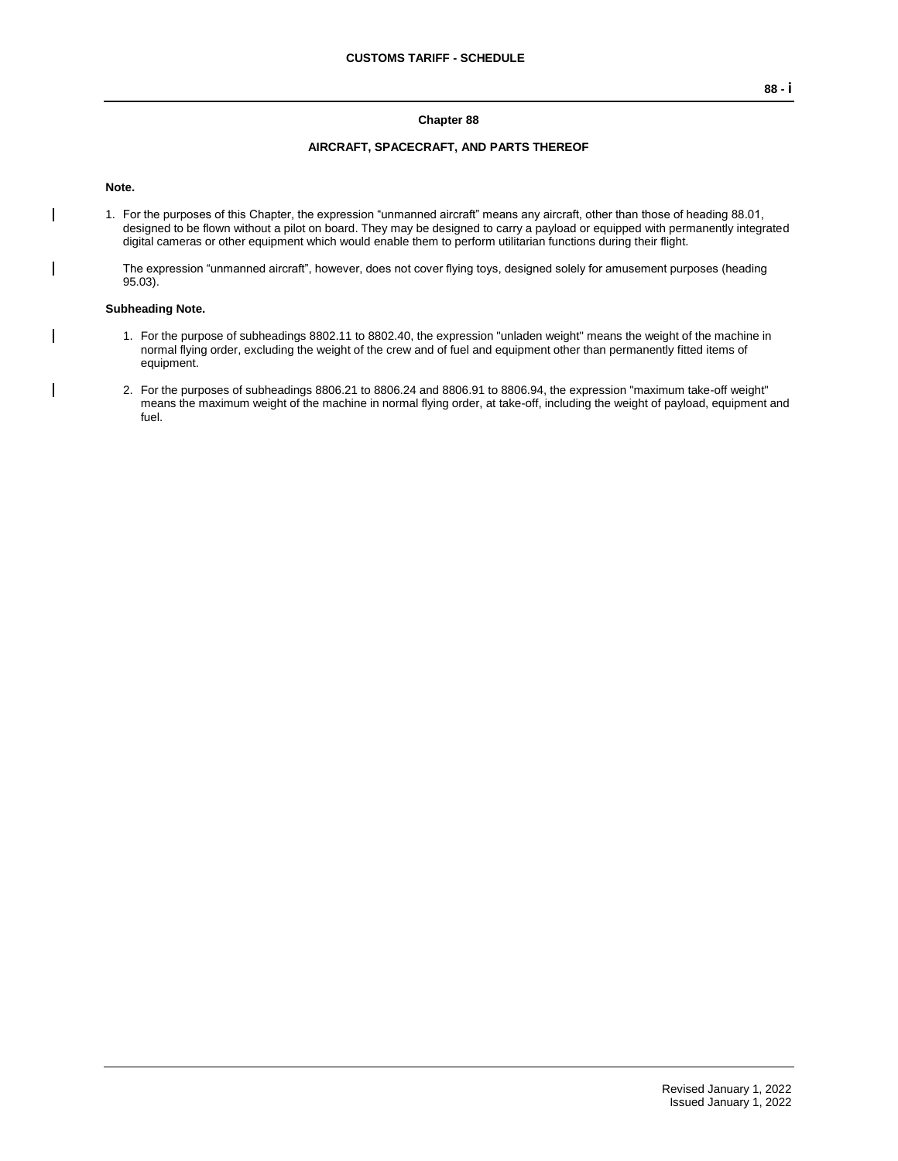## **Chapter 88**

#### **AIRCRAFT, SPACECRAFT, AND PARTS THEREOF**

#### **Note.**

 $\mathsf{l}$ 

1. For the purposes of this Chapter, the expression "unmanned aircraft" means any aircraft, other than those of heading 88.01, designed to be flown without a pilot on board. They may be designed to carry a payload or equipped with permanently integrated digital cameras or other equipment which would enable them to perform utilitarian functions during their flight.

The expression "unmanned aircraft", however, does not cover flying toys, designed solely for amusement purposes (heading 95.03).

### **Subheading Note.**

- 1. For the purpose of subheadings 8802.11 to 8802.40, the expression "unladen weight" means the weight of the machine in normal flying order, excluding the weight of the crew and of fuel and equipment other than permanently fitted items of equipment.
- 2. For the purposes of subheadings 8806.21 to 8806.24 and 8806.91 to 8806.94, the expression "maximum take-off weight" means the maximum weight of the machine in normal flying order, at take-off, including the weight of payload, equipment and fuel.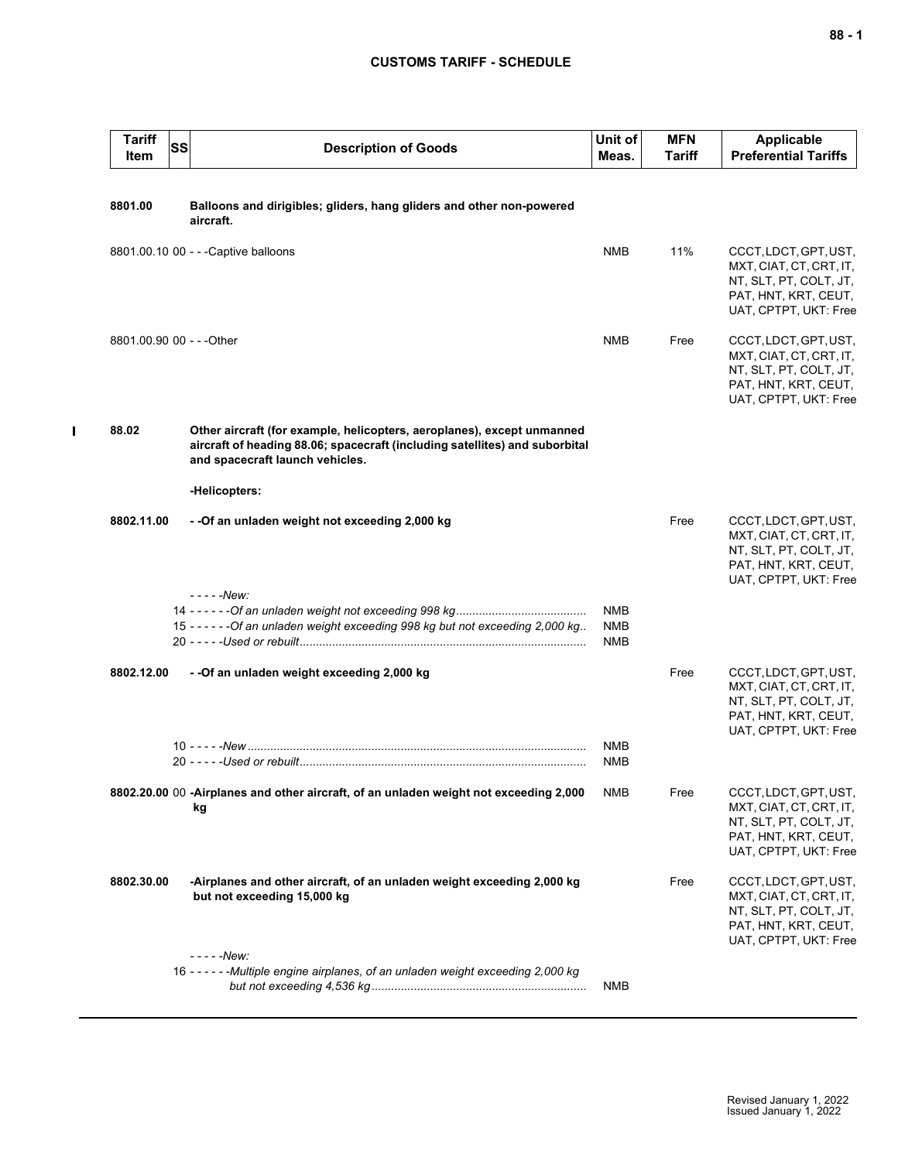# **CUSTOMS TARIFF - SCHEDULE**

| <b>Tariff</b><br>Item     | <b>SS</b> | <b>Description of Goods</b>                                                                                                                                                              | Unit of<br>Meas.                       | <b>MFN</b><br><b>Tariff</b> | <b>Applicable</b><br><b>Preferential Tariffs</b>                                                                            |
|---------------------------|-----------|------------------------------------------------------------------------------------------------------------------------------------------------------------------------------------------|----------------------------------------|-----------------------------|-----------------------------------------------------------------------------------------------------------------------------|
| 8801.00                   |           | Balloons and dirigibles; gliders, hang gliders and other non-powered<br>aircraft.                                                                                                        |                                        |                             |                                                                                                                             |
|                           |           | 8801.00.10 00 - - - Captive balloons                                                                                                                                                     | <b>NMB</b>                             | 11%                         | CCCT, LDCT, GPT, UST,<br>MXT, CIAT, CT, CRT, IT,<br>NT, SLT, PT, COLT, JT,<br>PAT, HNT, KRT, CEUT,<br>UAT, CPTPT, UKT: Free |
| 8801.00.90 00 - - - Other |           |                                                                                                                                                                                          | <b>NMB</b>                             | Free                        | CCCT, LDCT, GPT, UST,<br>MXT, CIAT, CT, CRT, IT,<br>NT, SLT, PT, COLT, JT,<br>PAT, HNT, KRT, CEUT,<br>UAT, CPTPT, UKT: Free |
| 88.02                     |           | Other aircraft (for example, helicopters, aeroplanes), except unmanned<br>aircraft of heading 88.06; spacecraft (including satellites) and suborbital<br>and spacecraft launch vehicles. |                                        |                             |                                                                                                                             |
| 8802.11.00                |           | -Helicopters:<br>- -Of an unladen weight not exceeding 2,000 kg                                                                                                                          |                                        | Free                        | CCCT, LDCT, GPT, UST,<br>MXT, CIAT, CT, CRT, IT,<br>NT, SLT, PT, COLT, JT,<br>PAT, HNT, KRT, CEUT,<br>UAT, CPTPT, UKT: Free |
|                           |           | - - - - - New:<br>15 - - - - - - Of an unladen weight exceeding 998 kg but not exceeding 2,000 kg                                                                                        | <b>NMB</b><br><b>NMB</b><br><b>NMB</b> |                             |                                                                                                                             |
| 8802.12.00                |           | - - Of an unladen weight exceeding 2,000 kg                                                                                                                                              |                                        | Free                        | CCCT, LDCT, GPT, UST,<br>MXT, CIAT, CT, CRT, IT,<br>NT, SLT, PT, COLT, JT,<br>PAT, HNT, KRT, CEUT,<br>UAT, CPTPT, UKT: Free |
|                           |           |                                                                                                                                                                                          | <b>NMB</b><br>NMB                      |                             |                                                                                                                             |
|                           |           | 8802.20.00 00 -Airplanes and other aircraft, of an unladen weight not exceeding 2,000<br>kg                                                                                              | <b>NMB</b>                             | Free                        | CCCT, LDCT, GPT, UST,<br>MXT, CIAT, CT, CRT, IT,<br>NT, SLT, PT, COLT, JT,<br>PAT, HNT, KRT, CEUT,<br>UAT, CPTPT, UKT: Free |
| 8802.30.00                |           | -Airplanes and other aircraft, of an unladen weight exceeding 2,000 kg<br>but not exceeding 15,000 kg                                                                                    |                                        | Free                        | CCCT, LDCT, GPT, UST,<br>MXT, CIAT, CT, CRT, IT,<br>NT, SLT, PT, COLT, JT,<br>PAT, HNT, KRT, CEUT,<br>UAT, CPTPT, UKT: Free |
|                           |           | - - - - -New:<br>16 - - - - - - Multiple engine airplanes, of an unladen weight exceeding 2,000 kg                                                                                       | <b>NMB</b>                             |                             |                                                                                                                             |

 $\mathbf I$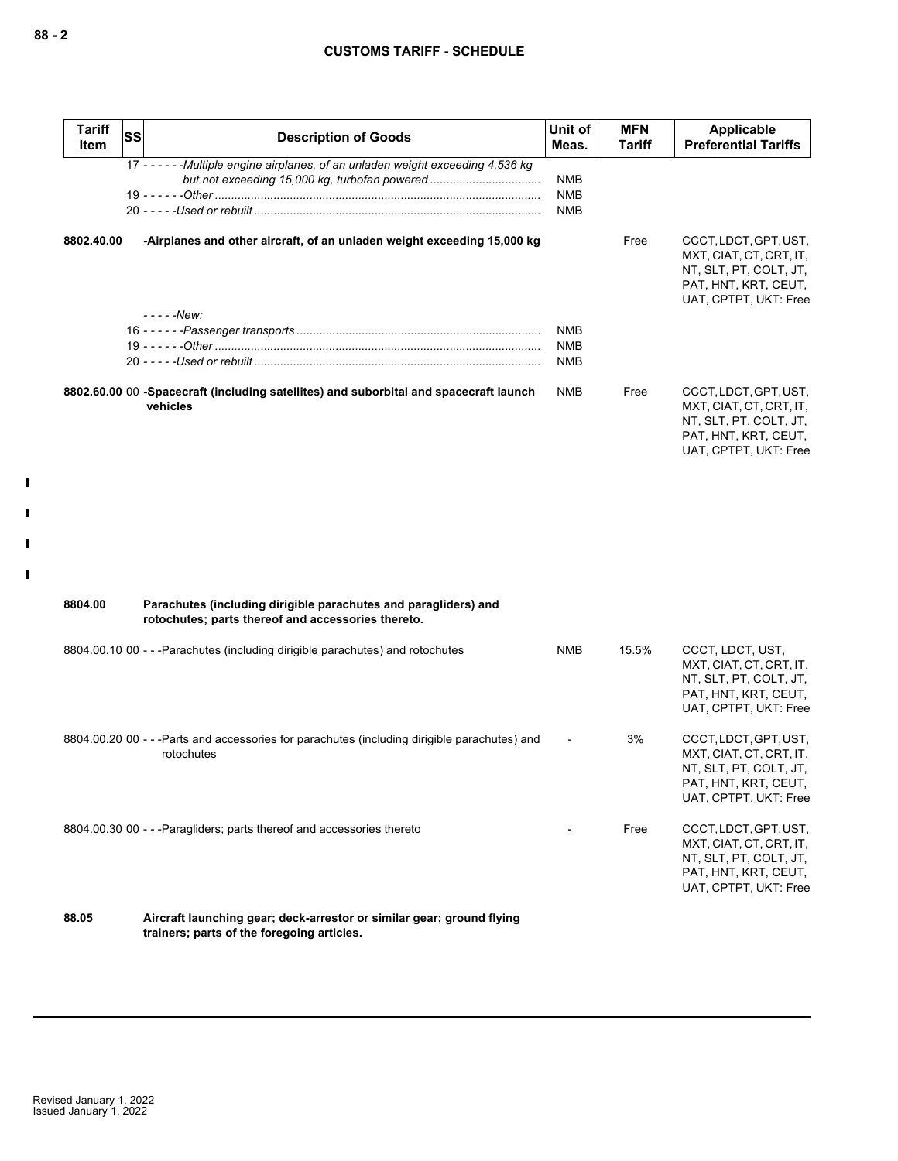| <b>Tariff</b><br><b>Item</b> | <b>SS</b> | <b>Description of Goods</b>                                                                                         | Unit of<br>Meas.         | <b>MFN</b><br>Tariff | Applicable<br><b>Preferential Tariffs</b>                                                                                   |
|------------------------------|-----------|---------------------------------------------------------------------------------------------------------------------|--------------------------|----------------------|-----------------------------------------------------------------------------------------------------------------------------|
|                              |           | 17 - - - - - - Multiple engine airplanes, of an unladen weight exceeding 4,536 kg                                   |                          |                      |                                                                                                                             |
|                              |           |                                                                                                                     | <b>NMB</b>               |                      |                                                                                                                             |
|                              |           |                                                                                                                     | <b>NMB</b><br><b>NMB</b> |                      |                                                                                                                             |
|                              |           |                                                                                                                     |                          |                      |                                                                                                                             |
| 8802.40.00                   |           | -Airplanes and other aircraft, of an unladen weight exceeding 15,000 kg                                             |                          | Free                 | CCCT, LDCT, GPT, UST,<br>MXT, CIAT, CT, CRT, IT,<br>NT, SLT, PT, COLT, JT,<br>PAT, HNT, KRT, CEUT,<br>UAT, CPTPT, UKT: Free |
|                              |           | $---New:$                                                                                                           |                          |                      |                                                                                                                             |
|                              |           |                                                                                                                     | <b>NMB</b>               |                      |                                                                                                                             |
|                              |           |                                                                                                                     | <b>NMB</b>               |                      |                                                                                                                             |
|                              |           |                                                                                                                     | <b>NMB</b>               |                      |                                                                                                                             |
|                              |           | 8802.60.00 00 -Spacecraft (including satellites) and suborbital and spacecraft launch<br>vehicles                   | <b>NMB</b>               | Free                 | CCCT, LDCT, GPT, UST,<br>MXT, CIAT, CT, CRT, IT,<br>NT, SLT, PT, COLT, JT,<br>PAT, HNT, KRT, CEUT,<br>UAT, CPTPT, UKT: Free |
| 8804.00                      |           | Parachutes (including dirigible parachutes and paragliders) and                                                     |                          |                      |                                                                                                                             |
|                              |           | rotochutes; parts thereof and accessories thereto.                                                                  |                          |                      |                                                                                                                             |
|                              |           | 8804.00.10 00 - - - Parachutes (including dirigible parachutes) and rotochutes                                      | NMB                      | 15.5%                | CCCT, LDCT, UST,<br>MXT, CIAT, CT, CRT, IT,<br>NT, SLT, PT, COLT, JT,<br>PAT, HNT, KRT, CEUT,<br>UAT, CPTPT, UKT: Free      |
|                              |           | 8804.00.20 00 - - - Parts and accessories for parachutes (including dirigible parachutes) and<br>rotochutes         |                          | 3%                   | CCCT, LDCT, GPT, UST,<br>MXT, CIAT, CT, CRT, IT,<br>NT, SLT, PT, COLT, JT,<br>PAT, HNT, KRT, CEUT,<br>UAT, CPTPT, UKT: Free |
|                              |           | 8804.00.30 00 - - - Paragliders; parts thereof and accessories thereto                                              |                          | Free                 | CCCT, LDCT, GPT, UST,<br>MXT, CIAT, CT, CRT, IT,<br>NT, SLT, PT, COLT, JT,<br>PAT, HNT, KRT, CEUT,<br>UAT, CPTPT, UKT: Free |
| 88.05                        |           | Aircraft launching gear; deck-arrestor or similar gear; ground flying<br>trainers; parts of the foregoing articles. |                          |                      |                                                                                                                             |

 $\mathbf{I}$ 

 $\blacksquare$ 

 $\mathbf{I}$ 

 $\mathbf{I}$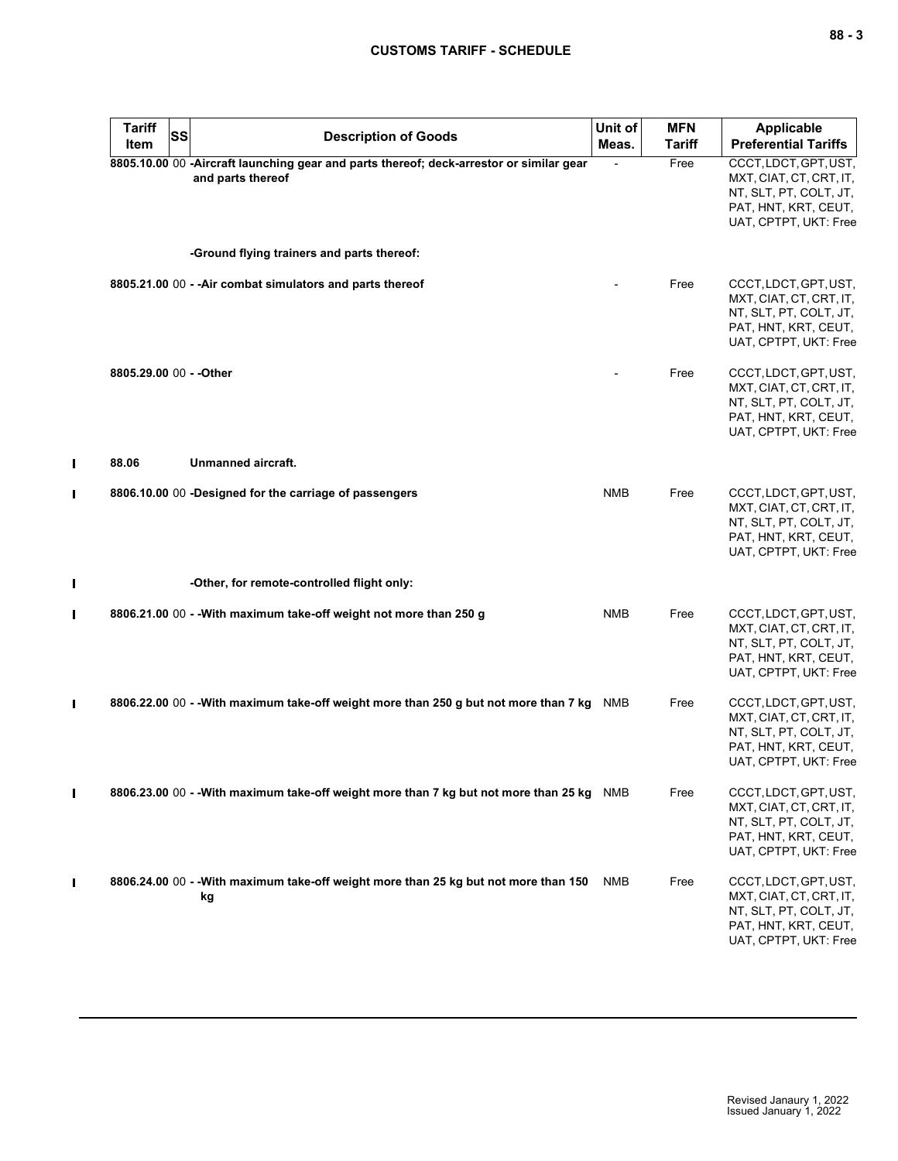| <b>Tariff</b><br>Item   | SS | <b>Description of Goods</b>                                                                                  | Unit of<br>Meas. | <b>MFN</b><br><b>Tariff</b> | <b>Applicable</b><br><b>Preferential Tariffs</b>                                                                            |
|-------------------------|----|--------------------------------------------------------------------------------------------------------------|------------------|-----------------------------|-----------------------------------------------------------------------------------------------------------------------------|
|                         |    | 8805.10.00 00 -Aircraft launching gear and parts thereof; deck-arrestor or similar gear<br>and parts thereof |                  | Free                        | CCCT, LDCT, GPT, UST,<br>MXT, CIAT, CT, CRT, IT,<br>NT, SLT, PT, COLT, JT,<br>PAT, HNT, KRT, CEUT,<br>UAT, CPTPT, UKT: Free |
|                         |    | -Ground flying trainers and parts thereof:                                                                   |                  |                             |                                                                                                                             |
|                         |    | 8805.21.00 00 - - Air combat simulators and parts thereof                                                    |                  | Free                        | CCCT, LDCT, GPT, UST,<br>MXT, CIAT, CT, CRT, IT,<br>NT, SLT, PT, COLT, JT,<br>PAT, HNT, KRT, CEUT,<br>UAT, CPTPT, UKT: Free |
| 8805.29.00 00 - - Other |    |                                                                                                              |                  | Free                        | CCCT, LDCT, GPT, UST,<br>MXT, CIAT, CT, CRT, IT,<br>NT, SLT, PT, COLT, JT,<br>PAT, HNT, KRT, CEUT,<br>UAT, CPTPT, UKT: Free |
| 88.06                   |    | Unmanned aircraft.                                                                                           |                  |                             |                                                                                                                             |
|                         |    | 8806.10.00 00 -Designed for the carriage of passengers                                                       | <b>NMB</b>       | Free                        | CCCT, LDCT, GPT, UST,<br>MXT, CIAT, CT, CRT, IT,<br>NT, SLT, PT, COLT, JT,<br>PAT, HNT, KRT, CEUT,<br>UAT, CPTPT, UKT: Free |
|                         |    | -Other, for remote-controlled flight only:                                                                   |                  |                             |                                                                                                                             |
|                         |    | 8806.21.00 00 - - With maximum take-off weight not more than 250 g                                           | <b>NMB</b>       | Free                        | CCCT, LDCT, GPT, UST,<br>MXT, CIAT, CT, CRT, IT,<br>NT, SLT, PT, COLT, JT,<br>PAT, HNT, KRT, CEUT,<br>UAT, CPTPT, UKT: Free |
|                         |    | 8806.22.00 00 - - With maximum take-off weight more than 250 g but not more than 7 kg                        | NMB              | Free                        | CCCT, LDCT, GPT, UST,<br>MXT, CIAT, CT, CRT, IT,<br>NT, SLT, PT, COLT, JT,<br>PAT, HNT, KRT, CEUT,<br>UAT, CPTPT, UKT: Free |
|                         |    | 8806.23.00 00 - - With maximum take-off weight more than 7 kg but not more than 25 kg NMB                    |                  | Free                        | CCCT, LDCT, GPT, UST,<br>MXT, CIAT, CT, CRT, IT,<br>NT, SLT, PT, COLT, JT,<br>PAT, HNT, KRT, CEUT,<br>UAT, CPTPT, UKT: Free |
|                         |    | 8806.24.00 00 - - With maximum take-off weight more than 25 kg but not more than 150<br>kg                   | NMB              | Free                        | CCCT, LDCT, GPT, UST,<br>MXT, CIAT, CT, CRT, IT,<br>NT, SLT, PT, COLT, JT,<br>PAT, HNT, KRT, CEUT,<br>UAT, CPTPT, UKT: Free |

 $\mathbf{I}$ 

 $\mathbf{I}$ 

 $\blacksquare$ 

 $\mathbf{I}$ 

 $\mathbf{I}$ 

 $\mathbf{I}$ 

 $\mathbf{I}$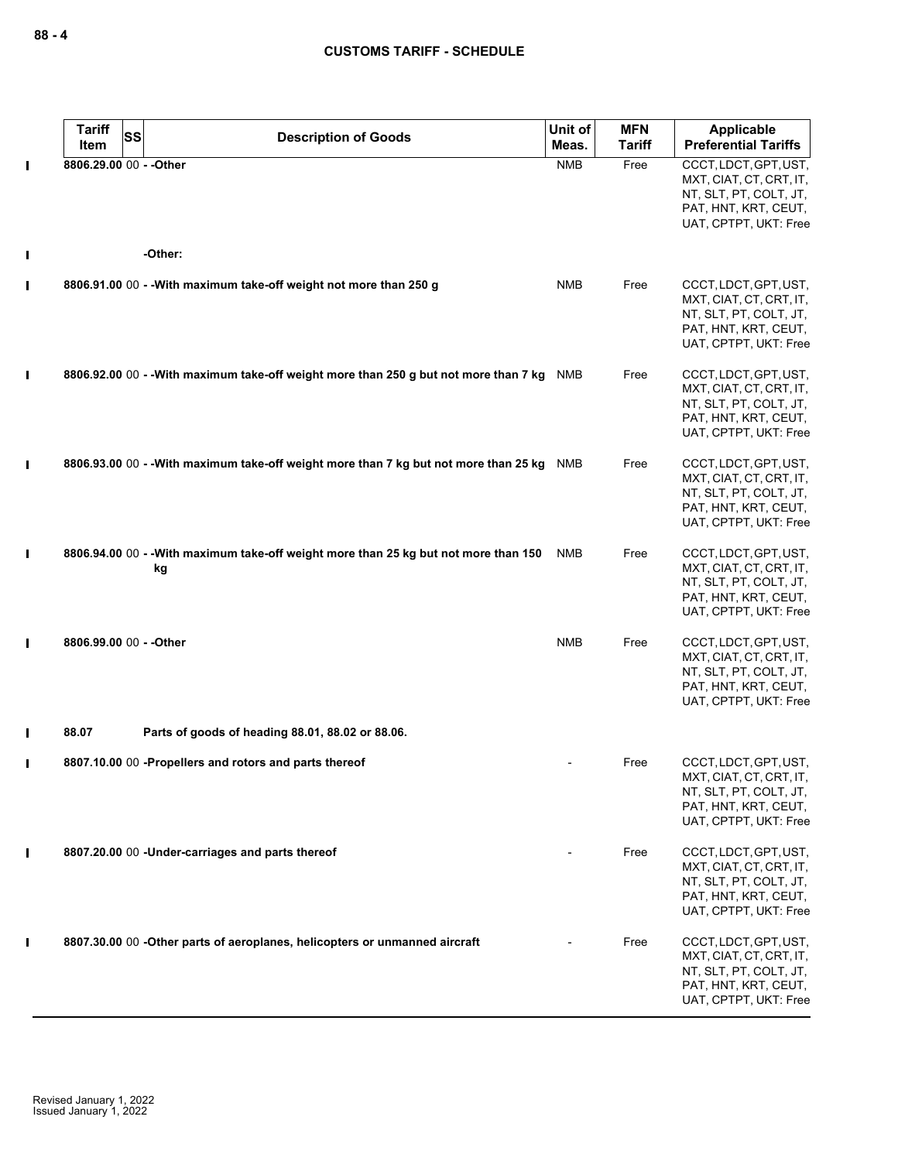|                | <b>Tariff</b><br>SS<br>Item | <b>Description of Goods</b>                                                                | Unit of<br>Meas. | <b>MFN</b><br><b>Tariff</b> | <b>Applicable</b><br><b>Preferential Tariffs</b>                                                                            |
|----------------|-----------------------------|--------------------------------------------------------------------------------------------|------------------|-----------------------------|-----------------------------------------------------------------------------------------------------------------------------|
| $\blacksquare$ | 8806.29.00 00 - - Other     |                                                                                            | <b>NMB</b>       | Free                        | CCCT, LDCT, GPT, UST,<br>MXT, CIAT, CT, CRT, IT,<br>NT, SLT, PT, COLT, JT,<br>PAT, HNT, KRT, CEUT,<br>UAT, CPTPT, UKT: Free |
| I              |                             | -Other:                                                                                    |                  |                             |                                                                                                                             |
| П              |                             | 8806.91.00 00 - - With maximum take-off weight not more than 250 g                         | <b>NMB</b>       | Free                        | CCCT, LDCT, GPT, UST,<br>MXT, CIAT, CT, CRT, IT,<br>NT, SLT, PT, COLT, JT,<br>PAT, HNT, KRT, CEUT,<br>UAT, CPTPT, UKT: Free |
| I              |                             | 8806.92.00 00 - - With maximum take-off weight more than 250 g but not more than 7 kg      | NMB              | Free                        | CCCT, LDCT, GPT, UST,<br>MXT, CIAT, CT, CRT, IT,<br>NT, SLT, PT, COLT, JT,<br>PAT, HNT, KRT, CEUT,<br>UAT, CPTPT, UKT: Free |
| $\mathbf I$    |                             | 8806.93.00 00 - -With maximum take-off weight more than 7 kg but not more than 25 kg       | <b>NMB</b>       | Free                        | CCCT, LDCT, GPT, UST,<br>MXT, CIAT, CT, CRT, IT,<br>NT, SLT, PT, COLT, JT,<br>PAT, HNT, KRT, CEUT,<br>UAT, CPTPT, UKT: Free |
| $\blacksquare$ |                             | 8806.94.00 00 - - With maximum take-off weight more than 25 kg but not more than 150<br>kg | NMB              | Free                        | CCCT, LDCT, GPT, UST,<br>MXT, CIAT, CT, CRT, IT,<br>NT, SLT, PT, COLT, JT,<br>PAT, HNT, KRT, CEUT,<br>UAT, CPTPT, UKT: Free |
| $\blacksquare$ | 8806.99.00 00 - - Other     |                                                                                            | <b>NMB</b>       | Free                        | CCCT, LDCT, GPT, UST,<br>MXT, CIAT, CT, CRT, IT,<br>NT, SLT, PT, COLT, JT,<br>PAT, HNT, KRT, CEUT,<br>UAT, CPTPT, UKT: Free |
| П              | 88.07                       | Parts of goods of heading 88.01, 88.02 or 88.06.                                           |                  |                             |                                                                                                                             |
| $\blacksquare$ |                             | 8807.10.00 00 -Propellers and rotors and parts thereof                                     |                  | Free                        | CCCT, LDCT, GPT, UST,<br>MXT, CIAT, CT, CRT, IT,<br>NT, SLT, PT, COLT, JT,<br>PAT, HNT, KRT, CEUT,<br>UAT, CPTPT, UKT: Free |
| П              |                             | 8807.20.00 00 -Under-carriages and parts thereof                                           |                  | Free                        | CCCT, LDCT, GPT, UST,<br>MXT, CIAT, CT, CRT, IT,<br>NT, SLT, PT, COLT, JT,<br>PAT, HNT, KRT, CEUT,<br>UAT, CPTPT, UKT: Free |
| I              |                             | 8807.30.00 00 -Other parts of aeroplanes, helicopters or unmanned aircraft                 |                  | Free                        | CCCT, LDCT, GPT, UST,<br>MXT, CIAT, CT, CRT, IT,<br>NT, SLT, PT, COLT, JT,<br>PAT, HNT, KRT, CEUT,<br>UAT, CPTPT, UKT: Free |